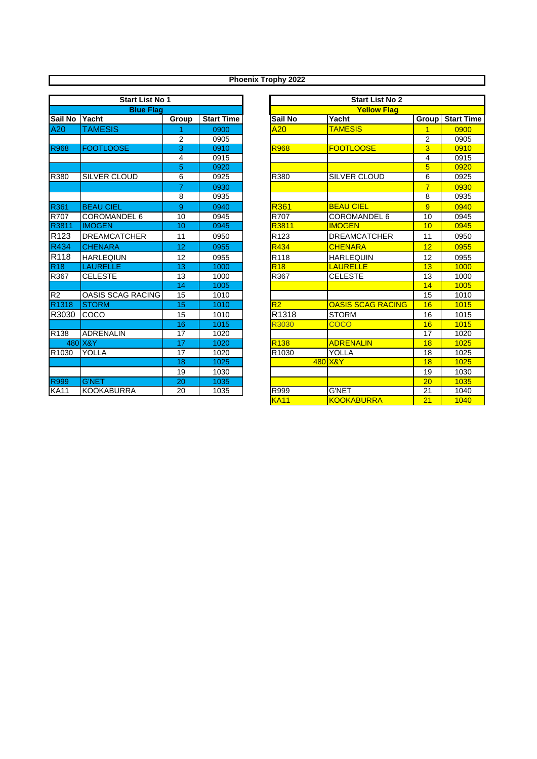| <b>Start List No 1</b> |                     |                 |                   |  |  |  |
|------------------------|---------------------|-----------------|-------------------|--|--|--|
| <b>Blue Flag</b>       |                     |                 |                   |  |  |  |
| Sail No                | Yacht               | Group           | <b>Start Time</b> |  |  |  |
| A20                    | <b>TAMESIS</b>      | 1               | 0900              |  |  |  |
|                        |                     | $\overline{2}$  | 0905              |  |  |  |
| <b>R968</b>            | <b>FOOTLOOSE</b>    | $\overline{3}$  | 0910              |  |  |  |
|                        |                     | 4               | 0915              |  |  |  |
|                        |                     | 5               | 0920              |  |  |  |
| R380                   | <b>SILVER CLOUD</b> | 6               | 0925              |  |  |  |
|                        |                     | 7               | 0930              |  |  |  |
|                        |                     | 8               | 0935              |  |  |  |
| R361                   | <b>BEAU CIEL</b>    | 9               | 0940              |  |  |  |
| R707                   | COROMANDEL 6        | 10              | 0945              |  |  |  |
| R3811                  | <b>IMOGEN</b>       | 10              | 0945              |  |  |  |
| R <sub>123</sub>       | <b>DREAMCATCHER</b> | 11              | 0950              |  |  |  |
| R434                   | <b>CHENARA</b>      | 12              | 0955              |  |  |  |
| R <sub>118</sub>       | <b>HARLEQIUN</b>    | 12              | 0955              |  |  |  |
| <b>R18</b>             | <b>LAURELLE</b>     | 13              | 1000              |  |  |  |
| R367                   | <b>CELESTE</b>      | 13              | 1000              |  |  |  |
|                        |                     | $\overline{14}$ | 1005              |  |  |  |
| R <sub>2</sub>         | OASIS SCAG RACING   | 15              | 1010              |  |  |  |
| R <sub>1318</sub>      | <b>STORM</b>        | 15              | 1010              |  |  |  |
| R3030                  | COCO                | 15              | 1010              |  |  |  |
|                        |                     | 16              | 1015              |  |  |  |
| R <sub>138</sub>       | <b>ADRENALIN</b>    | 17              | 1020              |  |  |  |
| 480                    | X&Y                 | $\overline{17}$ | 1020              |  |  |  |
| R <sub>1030</sub>      | YOLLA               | 17              | 1020              |  |  |  |
|                        |                     | 18              | 1025              |  |  |  |
|                        |                     | 19              | 1030              |  |  |  |
| <b>R999</b>            | <b>G'NET</b>        | 20              | 1035              |  |  |  |
| <b>KA11</b>            | <b>KOOKABURRA</b>   | 20              | 1035              |  |  |  |

|                    | <b>Start List No 1</b>   |       |                   |                    | <b>Start List No 2</b>   |                 |                   |
|--------------------|--------------------------|-------|-------------------|--------------------|--------------------------|-----------------|-------------------|
| <b>Blue Flag</b>   |                          |       |                   | <b>Yellow Flag</b> |                          |                 |                   |
| Sail No            | Yacht                    | Group | <b>Start Time</b> | Sail No            | Yacht                    | Group           | <b>Start Time</b> |
| A20                | <b>TAMESIS</b>           |       | 0900              | A20                | <b>TAMESIS</b>           | $\overline{1}$  | 0900              |
|                    |                          | 2     | 0905              |                    |                          | $\overline{2}$  | 0905              |
| R968               | <b>FOOTLOOSE</b>         | 3     | 0910              | <b>R968</b>        | <b>FOOTLOOSE</b>         | 3               | 0910              |
|                    |                          | 4     | 0915              |                    |                          | 4               | 0915              |
|                    |                          | 5     | 0920              |                    |                          | 5               | 0920              |
| R380               | <b>SILVER CLOUD</b>      | 6     | 0925              | R380               | <b>SILVER CLOUD</b>      | 6               | 0925              |
|                    |                          | 7     | 0930              |                    |                          | $\overline{7}$  | 0930              |
|                    |                          | 8     | 0935              |                    |                          | 8               | 0935              |
| R361               | <b>BEAU CIEL</b>         | 9     | 0940              | <b>R361</b>        | <b>BEAU CIEL</b>         | $\overline{9}$  | 0940              |
| R707               | COROMANDEL 6             | 10    | 0945              | R707               | COROMANDEL 6             | 10              | 0945              |
| R3811              | <b>IMOGEN</b>            | 10    | 0945              | R3811              | <b>IMOGEN</b>            | 10              | 0945              |
| R <sub>123</sub>   | <b>DREAMCATCHER</b>      | 11    | 0950              | R <sub>123</sub>   | <b>DREAMCATCHER</b>      | 11              | 0950              |
| R434               | <b>CHENARA</b>           | 12    | 0955              | R434               | <b>CHENARA</b>           | 12              | 0955              |
| R <sub>118</sub>   | <b>HARLEQIUN</b>         | 12    | 0955              | R <sub>118</sub>   | <b>HARLEQUIN</b>         | 12              | 0955              |
| R <sub>18</sub>    | <b>LAURELLE</b>          | 13    | 1000              | <b>R18</b>         | <b>LAURELLE</b>          | 13              | 1000              |
| R367               | <b>CELESTE</b>           | 13    | 1000              | R367               | <b>CELESTE</b>           | 13              | 1000              |
|                    |                          | 14    | 1005              |                    |                          | 14              | 1005              |
| R2                 | <b>OASIS SCAG RACING</b> | 15    | 1010              |                    |                          | 15              | 1010              |
| R <sub>1318</sub>  | <b>STORM</b>             | 15    | 1010              | R2                 | <b>OASIS SCAG RACING</b> | 16              | 1015              |
| R3030              | COCO                     | 15    | 1010              | R1318              | <b>STORM</b>             | 16              | 1015              |
|                    |                          | 16    | 1015              | R3030              | <b>COCO</b>              | 16              | 1015              |
| $\overline{R}$ 138 | <b>ADRENALIN</b>         | 17    | 1020              |                    |                          | 17              | 1020              |
|                    | 480 X&Y                  | 17    | 1020              | R <sub>138</sub>   | <b>ADRENALIN</b>         | 18              | 1025              |
| R <sub>1030</sub>  | YOLLA                    | 17    | 1020              | R <sub>1030</sub>  | <b>YOLLA</b>             | 18              | 1025              |
|                    |                          | 18    | 1025              |                    | 480 X&Y                  | 18              | 1025              |
|                    |                          | 19    | 1030              |                    |                          | 19              | 1030              |
| R999               | <b>G'NET</b>             | 20    | 1035              |                    |                          | 20              | 1035              |
| <b>KA11</b>        | <b>KOOKABURRA</b>        | 20    | 1035              | R999               | <b>G'NET</b>             | 21              | 1040              |
|                    |                          |       |                   | <b>KA11</b>        | <b>KOOKABURRA</b>        | $\overline{21}$ | 1040              |

## **Phoenix Trophy 2022**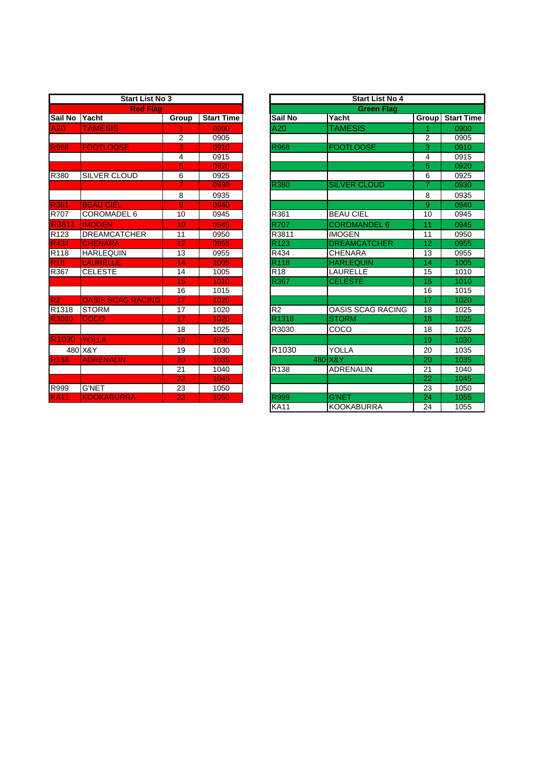| <b>Start List No 3</b> |                          |                 |                   |  |  |  |
|------------------------|--------------------------|-----------------|-------------------|--|--|--|
| <b>Red Flag</b>        |                          |                 |                   |  |  |  |
| Sail No                | Yacht                    | Group           | <b>Start Time</b> |  |  |  |
| A20                    | <b>TAMESIS</b>           | 1               | 0900              |  |  |  |
|                        |                          | $\overline{2}$  | 0905              |  |  |  |
| <b>R968</b>            | <b>FOOTLOOSE</b>         | 3               | 0910              |  |  |  |
|                        |                          | 4               | 0915              |  |  |  |
|                        |                          | 5               | 0920              |  |  |  |
| R380                   | SILVER CLOUD             | 6               | 0925              |  |  |  |
|                        |                          | 7               | 0930              |  |  |  |
|                        |                          | 8               | 0935              |  |  |  |
| <b>R361</b>            | <b>BEAU CIEL</b>         | $\overline{9}$  | 0940              |  |  |  |
| R707                   | <b>COROMADEL 6</b>       | 10              | 0945              |  |  |  |
| R3811                  | <b>IMOGEN</b>            | 10              | 0945              |  |  |  |
| R <sub>123</sub>       | <b>DREAMCATCHER</b>      | 11              | 0950              |  |  |  |
| R434                   | <b>CHENARA</b>           | $\overline{12}$ | 0955              |  |  |  |
| R118                   | <b>HARLEQUIN</b>         | 13              | 0955              |  |  |  |
| <b>R18</b>             | <b>LAURELLE</b>          | 14              | 1005              |  |  |  |
| R367                   | <b>CELESTE</b>           | 14              | 1005              |  |  |  |
|                        |                          | 15              | 1010              |  |  |  |
|                        |                          | 16              | 1015              |  |  |  |
| R <sub>2</sub>         | <b>OASIS SCAG RACING</b> | 17              | 1020              |  |  |  |
| R1318                  | <b>STORM</b>             | 17              | 1020              |  |  |  |
| R3030                  | <b>COCO</b>              | 17              | 1020              |  |  |  |
|                        |                          | 18              | 1025              |  |  |  |
| R <sub>1030</sub>      | <b>YOLLA</b>             | 19              | 1030              |  |  |  |
|                        | 480 X&Y                  | 19              | 1030              |  |  |  |
| <b>R138</b>            | <b>ADRENALIN</b>         | $\overline{20}$ | 1035              |  |  |  |
|                        |                          | 21              | 1040              |  |  |  |
|                        |                          | 22              | 1045              |  |  |  |
| R999                   | <b>G'NET</b>             | 23              | 1050              |  |  |  |
| <b>KA11</b>            | <b>KOOKABURRA</b>        | 23              | 1050              |  |  |  |

| <b>Start List No 3</b>   |                          |                 | <b>Start List No 4</b><br><b>Green Flag</b> |                  |                          |                 |                   |
|--------------------------|--------------------------|-----------------|---------------------------------------------|------------------|--------------------------|-----------------|-------------------|
| <b>Red Flag</b>          |                          |                 |                                             |                  |                          |                 |                   |
| Sail No                  | Yacht                    | Group           | <b>Start Time</b>                           | Sail No          | Yacht                    | <b>Group</b>    | <b>Start Time</b> |
| A20                      | <b>TAMESIS</b>           | 1               | 0900                                        | A20              | <b>TAMESIS</b>           |                 | 0900              |
|                          |                          | $\overline{2}$  | 0905                                        |                  |                          | $\overline{2}$  | 0905              |
| R968                     | <b>FOOTLOOSE</b>         | 3               | 0910                                        | R968             | <b>FOOTLOOSE</b>         | $\overline{3}$  | 0910              |
|                          |                          | 4               | 0915                                        |                  |                          | 4               | 0915              |
|                          |                          | 5               | 0920                                        |                  |                          | $\overline{5}$  | 0920              |
| R380                     | SILVER CLOUD             | 6               | 0925                                        |                  |                          | 6               | 0925              |
|                          |                          | $\overline{7}$  | 0930                                        | <b>R380</b>      | <b>SILVER CLOUD</b>      | $\overline{7}$  | 0930              |
|                          |                          | 8               | 0935                                        |                  |                          | 8               | 0935              |
| R361                     | <b>BEAU CIEL</b>         | 9               | 0940                                        |                  |                          | $\overline{9}$  | 0940              |
| R707                     | <b>COROMADEL 6</b>       | 10              | 0945                                        | R361             | <b>BEAU CIEL</b>         | 10              | 0945              |
| R3811                    | <b>IMOGEN</b>            | 10              | 0945                                        | <b>R707</b>      | <b>COROMANDEL 6</b>      | 11              | 0945              |
| R123                     | <b>DREAMCATCHER</b>      | 11              | 0950                                        | R3811            | <b>IMOGEN</b>            | 11              | 0950              |
| R434                     | <b>CHENARA</b>           | 12 <sub>2</sub> | 0955                                        | R <sub>123</sub> | <b>DREAMCATCHER</b>      | 12              | 0955              |
| $\overline{R118}$        | <b>HARLEQUIN</b>         | 13              | 0955                                        | R434             | <b>CHENARA</b>           | 13              | 0955              |
| <b>R18</b>               | <b>LAURELLE</b>          | 14              | 1005                                        | R <sub>118</sub> | <b>HARLEQUIN</b>         | 14              | 1005              |
| R367                     | <b>CELESTE</b>           | 14              | 1005                                        | R <sub>18</sub>  | <b>LAURELLE</b>          | 15              | 1010              |
|                          |                          | 15              | 1010                                        | R367             | <b>CELESTE</b>           | 15              | 1010              |
|                          |                          | 16              | 1015                                        |                  |                          | 16              | 1015              |
| $\overline{\mathsf{R2}}$ | <b>OASIS SCAG RACING</b> | 17              | 1020                                        |                  |                          | 17              | 1020              |
| R1318                    | <b>STORM</b>             | 17              | 1020                                        | R <sub>2</sub>   | <b>OASIS SCAG RACING</b> | 18              | 1025              |
| R3030                    | <b>COCO</b>              | 17              | 1020                                        | R1318            | <b>STORM</b>             | 18              | 1025              |
|                          |                          | 18              | 1025                                        | R3030            | COCO                     | 18              | 1025              |
| R <sub>1030</sub>        | <b>YOLLA</b>             | 19              | 1030                                        |                  |                          | 19              | 1030              |
|                          | 480 X&Y                  | 19              | 1030                                        | R1030            | <b>YOLLA</b>             | 20              | 1035              |
| R <sub>138</sub>         | <b>ADRENALIN</b>         | 20              | 1035                                        |                  | 480 X&Y                  | 20              | 1035              |
|                          |                          | 21              | 1040                                        | R138             | <b>ADRENALIN</b>         | 21              | 1040              |
|                          |                          | 22              | 1045                                        |                  |                          | $\overline{22}$ | 1045              |
| R999                     | <b>G'NET</b>             | 23              | 1050                                        |                  |                          | 23              | 1050              |
| <b>KA11</b>              | <b>KOOKABURRA</b>        | 23              | 1050                                        | R999             | <b>G'NET</b>             | 24              | 1055              |
|                          |                          |                 |                                             | <b>KA11</b>      | <b>KOOKABURRA</b>        | 24              | 1055              |